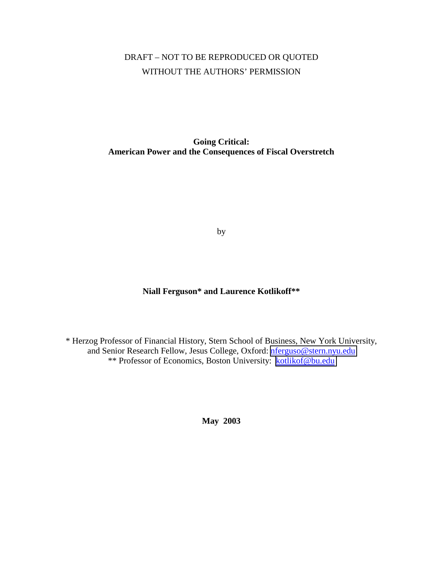# DRAFT – NOT TO BE REPRODUCED OR QUOTED WITHOUT THE AUTHORS' PERMISSION

# **Going Critical: American Power and the Consequences of Fiscal Overstretch**

by

# **Niall Ferguson\* and Laurence Kotlikoff\*\***

\* Herzog Professor of Financial History, Stern School of Business, New York University, and Senior Research Fellow, Jesus College, Oxford: [nferguso@stern.nyu.edu](mailto:nferguso@stern.nyu.edu) \*\* Professor of Economics, Boston University: [kotlikof@bu.edu](mailto:kotlikof@bu.edu)

**May 2003**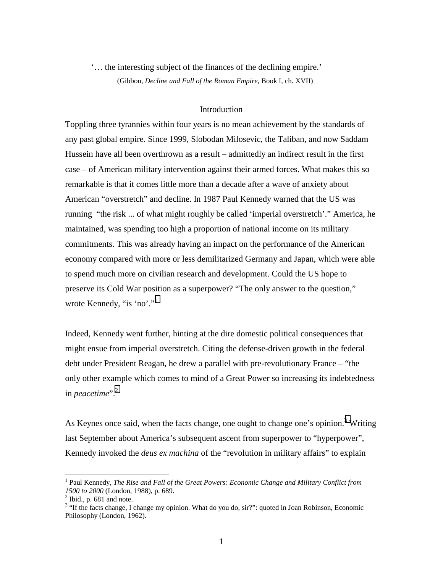'… the interesting subject of the finances of the declining empire.' (Gibbon, *Decline and Fall of the Roman Empire*, Book I, ch. XVII)

## **Introduction**

Toppling three tyrannies within four years is no mean achievement by the standards of any past global empire. Since 1999, Slobodan Milosevic, the Taliban, and now Saddam Hussein have all been overthrown as a result – admittedly an indirect result in the first case – of American military intervention against their armed forces. What makes this so remarkable is that it comes little more than a decade after a wave of anxiety about American "overstretch" and decline. In 1987 Paul Kennedy warned that the US was running "the risk ... of what might roughly be called 'imperial overstretch'." America, he maintained, was spending too high a proportion of national income on its military commitments. This was already having an impact on the performance of the American economy compared with more or less demilitarized Germany and Japan, which were able to spend much more on civilian research and development. Could the US hope to preserve its Cold War position as a superpower? "The only answer to the question," wrote Kennedy, "is 'no'."<sup>1</sup>

Indeed, Kennedy went further, hinting at the dire domestic political consequences that might ensue from imperial overstretch. Citing the defense-driven growth in the federal debt under President Reagan, he drew a parallel with pre-revolutionary France – "the only other example which comes to mind of a Great Power so increasing its indebtedness in *peacetime*".2

As Keynes once said, when the facts change, one ought to change one's opinion.<sup>3</sup> Writing last September about America's subsequent ascent from superpower to "hyperpower", Kennedy invoked the *deus ex machina* of the "revolution in military affairs" to explain

<sup>&</sup>lt;sup>1</sup> Paul Kennedy, *The Rise and Fall of the Great Powers: Economic Change and Military Conflict from 1500 to 2000* (London, 1988), p. 689. 2

 $2$  Ibid., p. 681 and note.

<sup>&</sup>lt;sup>3</sup> "If the facts change, I change my opinion. What do you do, sir?": quoted in Joan Robinson, Economic Philosophy (London, 1962).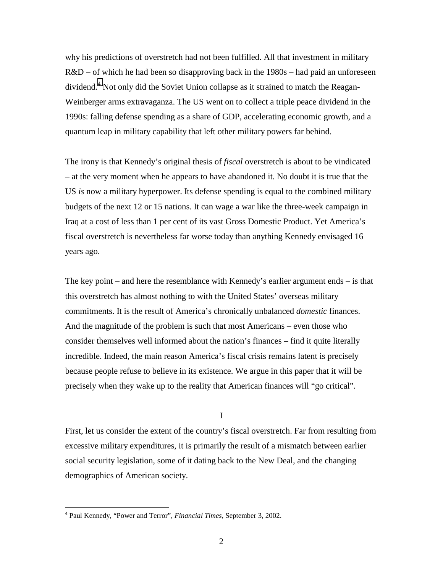why his predictions of overstretch had not been fulfilled. All that investment in military R&D – of which he had been so disapproving back in the 1980s – had paid an unforeseen dividend.<sup>4</sup> Not only did the Soviet Union collapse as it strained to match the Reagan-Weinberger arms extravaganza. The US went on to collect a triple peace dividend in the 1990s: falling defense spending as a share of GDP, accelerating economic growth, and a quantum leap in military capability that left other military powers far behind.

The irony is that Kennedy's original thesis of *fiscal* overstretch is about to be vindicated – at the very moment when he appears to have abandoned it. No doubt it is true that the US *is* now a military hyperpower. Its defense spending is equal to the combined military budgets of the next 12 or 15 nations. It can wage a war like the three-week campaign in Iraq at a cost of less than 1 per cent of its vast Gross Domestic Product. Yet America's fiscal overstretch is nevertheless far worse today than anything Kennedy envisaged 16 years ago.

The key point – and here the resemblance with Kennedy's earlier argument ends – is that this overstretch has almost nothing to with the United States' overseas military commitments. It is the result of America's chronically unbalanced *domestic* finances. And the magnitude of the problem is such that most Americans – even those who consider themselves well informed about the nation's finances – find it quite literally incredible. Indeed, the main reason America's fiscal crisis remains latent is precisely because people refuse to believe in its existence. We argue in this paper that it will be precisely when they wake up to the reality that American finances will "go critical".

I

First, let us consider the extent of the country's fiscal overstretch. Far from resulting from excessive military expenditures, it is primarily the result of a mismatch between earlier social security legislation, some of it dating back to the New Deal, and the changing demographics of American society.

<sup>4</sup> Paul Kennedy, "Power and Terror", *Financial Times*, September 3, 2002.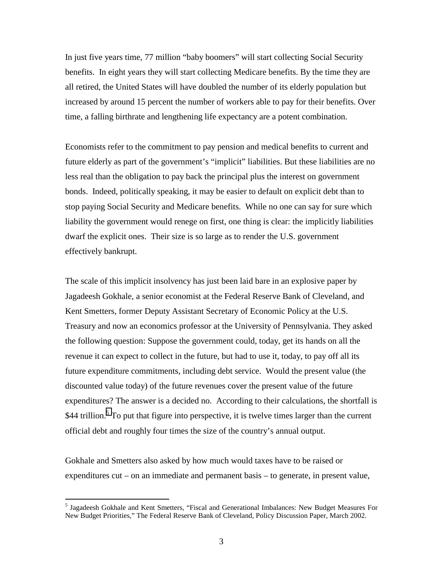In just five years time, 77 million "baby boomers" will start collecting Social Security benefits. In eight years they will start collecting Medicare benefits. By the time they are all retired, the United States will have doubled the number of its elderly population but increased by around 15 percent the number of workers able to pay for their benefits. Over time, a falling birthrate and lengthening life expectancy are a potent combination.

Economists refer to the commitment to pay pension and medical benefits to current and future elderly as part of the government's "implicit" liabilities. But these liabilities are no less real than the obligation to pay back the principal plus the interest on government bonds. Indeed, politically speaking, it may be easier to default on explicit debt than to stop paying Social Security and Medicare benefits. While no one can say for sure which liability the government would renege on first, one thing is clear: the implicitly liabilities dwarf the explicit ones. Their size is so large as to render the U.S. government effectively bankrupt.

The scale of this implicit insolvency has just been laid bare in an explosive paper by Jagadeesh Gokhale, a senior economist at the Federal Reserve Bank of Cleveland, and Kent Smetters, former Deputy Assistant Secretary of Economic Policy at the U.S. Treasury and now an economics professor at the University of Pennsylvania. They asked the following question: Suppose the government could, today, get its hands on all the revenue it can expect to collect in the future, but had to use it, today, to pay off all its future expenditure commitments, including debt service. Would the present value (the discounted value today) of the future revenues cover the present value of the future expenditures? The answer is a decided no. According to their calculations, the shortfall is \$44 trillion.<sup>5</sup> To put that figure into perspective, it is twelve times larger than the current official debt and roughly four times the size of the country's annual output.

Gokhale and Smetters also asked by how much would taxes have to be raised or expenditures cut – on an immediate and permanent basis – to generate, in present value,

<sup>&</sup>lt;sup>5</sup> Jagadeesh Gokhale and Kent Smetters, "Fiscal and Generational Imbalances: New Budget Measures For New Budget Priorities," The Federal Reserve Bank of Cleveland, Policy Discussion Paper, March 2002.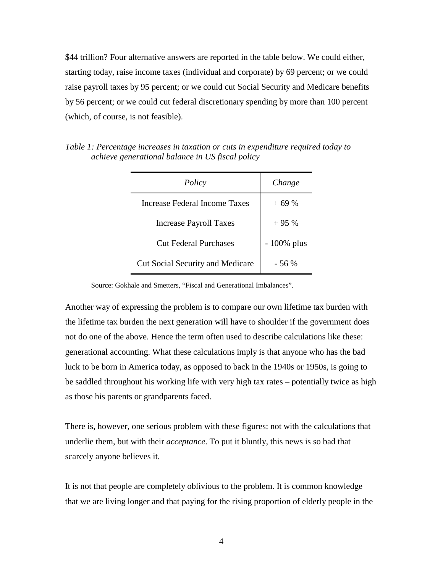\$44 trillion? Four alternative answers are reported in the table below. We could either, starting today, raise income taxes (individual and corporate) by 69 percent; or we could raise payroll taxes by 95 percent; or we could cut Social Security and Medicare benefits by 56 percent; or we could cut federal discretionary spending by more than 100 percent (which, of course, is not feasible).

| Policy                        | Change |
|-------------------------------|--------|
| Increase Federal Income Taxes | $+69%$ |
| <b>Increase Payroll Taxes</b> | $+95%$ |

Cut Social Security and Medicare | -56 %

Cut Federal Purchases | - 100% plus

*Table 1: Percentage increases in taxation or cuts in expenditure required today to achieve generational balance in US fiscal policy* 

Source: Gokhale and Smetters, "Fiscal and Generational Imbalances".

Another way of expressing the problem is to compare our own lifetime tax burden with the lifetime tax burden the next generation will have to shoulder if the government does not do one of the above. Hence the term often used to describe calculations like these: generational accounting. What these calculations imply is that anyone who has the bad luck to be born in America today, as opposed to back in the 1940s or 1950s, is going to be saddled throughout his working life with very high tax rates – potentially twice as high as those his parents or grandparents faced.

There is, however, one serious problem with these figures: not with the calculations that underlie them, but with their *acceptance*. To put it bluntly, this news is so bad that scarcely anyone believes it.

It is not that people are completely oblivious to the problem. It is common knowledge that we are living longer and that paying for the rising proportion of elderly people in the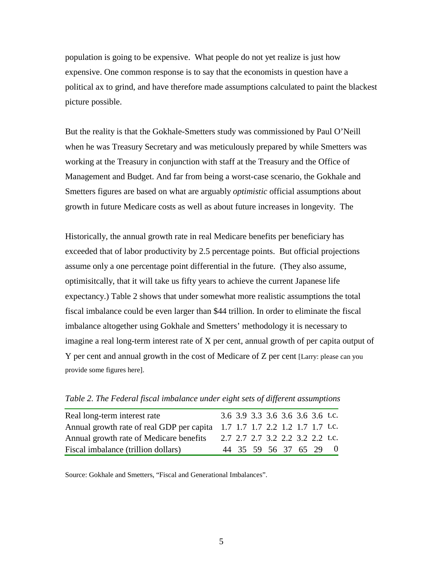population is going to be expensive. What people do not yet realize is just how expensive. One common response is to say that the economists in question have a political ax to grind, and have therefore made assumptions calculated to paint the blackest picture possible.

But the reality is that the Gokhale-Smetters study was commissioned by Paul O'Neill when he was Treasury Secretary and was meticulously prepared by while Smetters was working at the Treasury in conjunction with staff at the Treasury and the Office of Management and Budget. And far from being a worst-case scenario, the Gokhale and Smetters figures are based on what are arguably *optimistic* official assumptions about growth in future Medicare costs as well as about future increases in longevity. The

Historically, the annual growth rate in real Medicare benefits per beneficiary has exceeded that of labor productivity by 2.5 percentage points. But official projections assume only a one percentage point differential in the future. (They also assume, optimisitcally, that it will take us fifty years to achieve the current Japanese life expectancy.) Table 2 shows that under somewhat more realistic assumptions the total fiscal imbalance could be even larger than \$44 trillion. In order to eliminate the fiscal imbalance altogether using Gokhale and Smetters' methodology it is necessary to imagine a real long-term interest rate of X per cent, annual growth of per capita output of Y per cent and annual growth in the cost of Medicare of Z per cent [Larry: please can you provide some figures here].

| Real long-term interest rate                                               |  |  |  | 3.6 3.9 3.3 3.6 3.6 3.6 3.6 t.c. |                    |
|----------------------------------------------------------------------------|--|--|--|----------------------------------|--------------------|
| Annual growth rate of real GDP per capita 1.7 1.7 1.7 2.2 1.2 1.7 1.7 t.c. |  |  |  |                                  |                    |
| Annual growth rate of Medicare benefits                                    |  |  |  | 2.7 2.7 2.7 3.2 2.2 3.2 2.2 t.c. |                    |
| Fiscal imbalance (trillion dollars)                                        |  |  |  | 44 35 59 56 37 65 29             | $\hspace{0.1em} 0$ |

*Table 2. The Federal fiscal imbalance under eight sets of different assumptions* 

Source: Gokhale and Smetters, "Fiscal and Generational Imbalances".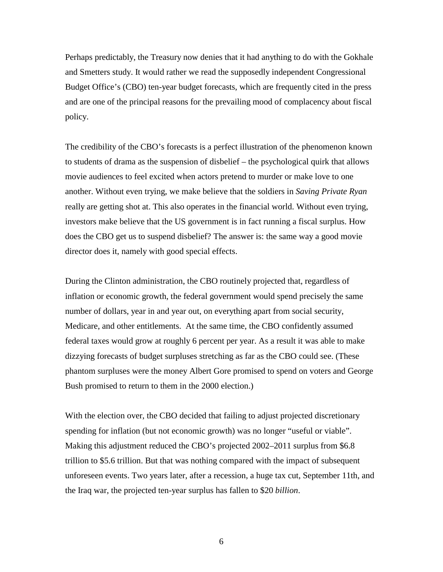Perhaps predictably, the Treasury now denies that it had anything to do with the Gokhale and Smetters study. It would rather we read the supposedly independent Congressional Budget Office's (CBO) ten-year budget forecasts, which are frequently cited in the press and are one of the principal reasons for the prevailing mood of complacency about fiscal policy.

The credibility of the CBO's forecasts is a perfect illustration of the phenomenon known to students of drama as the suspension of disbelief – the psychological quirk that allows movie audiences to feel excited when actors pretend to murder or make love to one another. Without even trying, we make believe that the soldiers in *Saving Private Ryan* really are getting shot at. This also operates in the financial world. Without even trying, investors make believe that the US government is in fact running a fiscal surplus. How does the CBO get us to suspend disbelief? The answer is: the same way a good movie director does it, namely with good special effects.

During the Clinton administration, the CBO routinely projected that, regardless of inflation or economic growth, the federal government would spend precisely the same number of dollars, year in and year out, on everything apart from social security, Medicare, and other entitlements. At the same time, the CBO confidently assumed federal taxes would grow at roughly 6 percent per year. As a result it was able to make dizzying forecasts of budget surpluses stretching as far as the CBO could see. (These phantom surpluses were the money Albert Gore promised to spend on voters and George Bush promised to return to them in the 2000 election.)

With the election over, the CBO decided that failing to adjust projected discretionary spending for inflation (but not economic growth) was no longer "useful or viable". Making this adjustment reduced the CBO's projected 2002–2011 surplus from \$6.8 trillion to \$5.6 trillion. But that was nothing compared with the impact of subsequent unforeseen events. Two years later, after a recession, a huge tax cut, September 11th, and the Iraq war, the projected ten-year surplus has fallen to \$20 *billion*.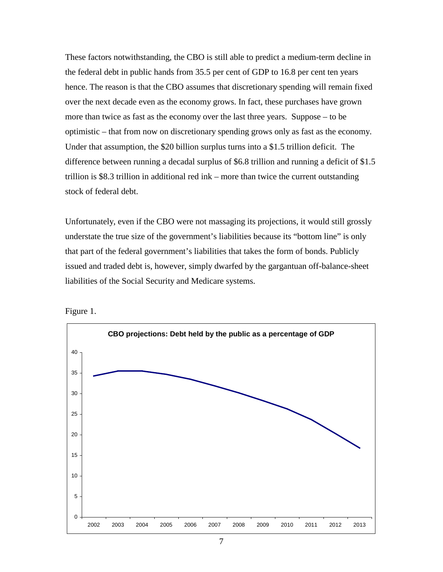These factors notwithstanding, the CBO is still able to predict a medium-term decline in the federal debt in public hands from 35.5 per cent of GDP to 16.8 per cent ten years hence. The reason is that the CBO assumes that discretionary spending will remain fixed over the next decade even as the economy grows. In fact, these purchases have grown more than twice as fast as the economy over the last three years. Suppose – to be optimistic – that from now on discretionary spending grows only as fast as the economy. Under that assumption, the \$20 billion surplus turns into a \$1.5 trillion deficit. The difference between running a decadal surplus of \$6.8 trillion and running a deficit of \$1.5 trillion is \$8.3 trillion in additional red ink – more than twice the current outstanding stock of federal debt.

Unfortunately, even if the CBO were not massaging its projections, it would still grossly understate the true size of the government's liabilities because its "bottom line" is only that part of the federal government's liabilities that takes the form of bonds. Publicly issued and traded debt is, however, simply dwarfed by the gargantuan off-balance-sheet liabilities of the Social Security and Medicare systems.



Figure 1.

 <sup>7</sup>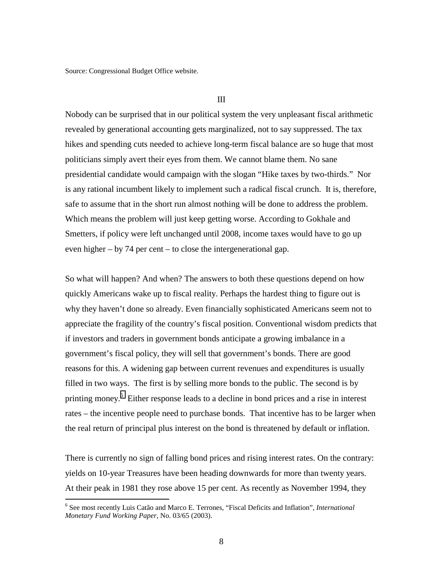Source: Congressional Budget Office website.

#### III

Nobody can be surprised that in our political system the very unpleasant fiscal arithmetic revealed by generational accounting gets marginalized, not to say suppressed. The tax hikes and spending cuts needed to achieve long-term fiscal balance are so huge that most politicians simply avert their eyes from them. We cannot blame them. No sane presidential candidate would campaign with the slogan "Hike taxes by two-thirds." Nor is any rational incumbent likely to implement such a radical fiscal crunch. It is, therefore, safe to assume that in the short run almost nothing will be done to address the problem. Which means the problem will just keep getting worse. According to Gokhale and Smetters, if policy were left unchanged until 2008, income taxes would have to go up even higher – by 74 per cent – to close the intergenerational gap.

So what will happen? And when? The answers to both these questions depend on how quickly Americans wake up to fiscal reality. Perhaps the hardest thing to figure out is why they haven't done so already. Even financially sophisticated Americans seem not to appreciate the fragility of the country's fiscal position. Conventional wisdom predicts that if investors and traders in government bonds anticipate a growing imbalance in a government's fiscal policy, they will sell that government's bonds. There are good reasons for this. A widening gap between current revenues and expenditures is usually filled in two ways. The first is by selling more bonds to the public. The second is by printing money.<sup>6</sup> Either response leads to a decline in bond prices and a rise in interest rates – the incentive people need to purchase bonds. That incentive has to be larger when the real return of principal plus interest on the bond is threatened by default or inflation.

There is currently no sign of falling bond prices and rising interest rates. On the contrary: yields on 10-year Treasures have been heading downwards for more than twenty years. At their peak in 1981 they rose above 15 per cent. As recently as November 1994, they

<sup>6</sup> See most recently Luis Catão and Marco E. Terrones, "Fiscal Deficits and Inflation", *International Monetary Fund Working Paper*, No. 03/65 (2003).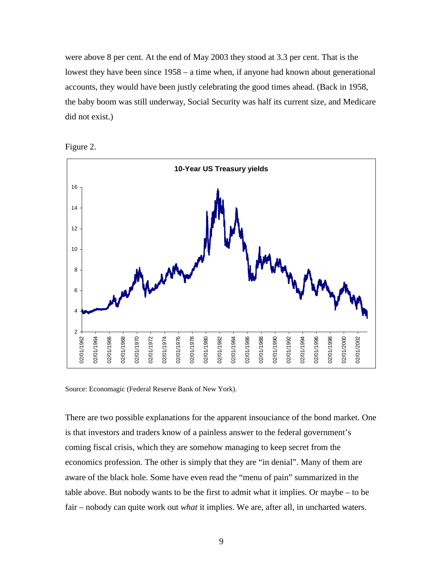were above 8 per cent. At the end of May 2003 they stood at 3.3 per cent. That is the lowest they have been since 1958 – a time when, if anyone had known about generational accounts, they would have been justly celebrating the good times ahead. (Back in 1958, the baby boom was still underway, Social Security was half its current size, and Medicare did not exist.)





Source: Economagic (Federal Reserve Bank of New York).

There are two possible explanations for the apparent insouciance of the bond market. One is that investors and traders know of a painless answer to the federal government's coming fiscal crisis, which they are somehow managing to keep secret from the economics profession. The other is simply that they are "in denial". Many of them are aware of the black hole. Some have even read the "menu of pain" summarized in the table above. But nobody wants to be the first to admit what it implies. Or maybe – to be fair – nobody can quite work out *what* it implies. We are, after all, in uncharted waters.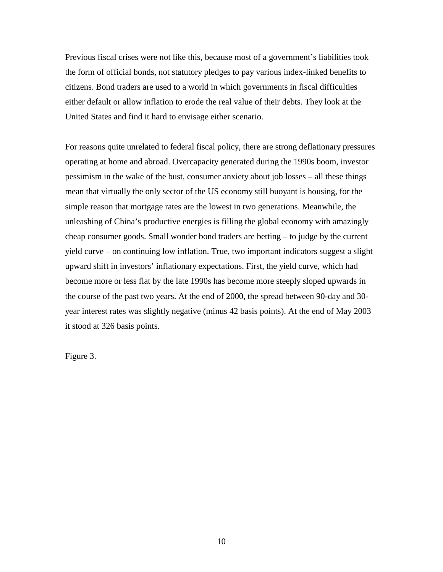Previous fiscal crises were not like this, because most of a government's liabilities took the form of official bonds, not statutory pledges to pay various index-linked benefits to citizens. Bond traders are used to a world in which governments in fiscal difficulties either default or allow inflation to erode the real value of their debts. They look at the United States and find it hard to envisage either scenario.

For reasons quite unrelated to federal fiscal policy, there are strong deflationary pressures operating at home and abroad. Overcapacity generated during the 1990s boom, investor pessimism in the wake of the bust, consumer anxiety about job losses – all these things mean that virtually the only sector of the US economy still buoyant is housing, for the simple reason that mortgage rates are the lowest in two generations. Meanwhile, the unleashing of China's productive energies is filling the global economy with amazingly cheap consumer goods. Small wonder bond traders are betting – to judge by the current yield curve – on continuing low inflation. True, two important indicators suggest a slight upward shift in investors' inflationary expectations. First, the yield curve, which had become more or less flat by the late 1990s has become more steeply sloped upwards in the course of the past two years. At the end of 2000, the spread between 90-day and 30 year interest rates was slightly negative (minus 42 basis points). At the end of May 2003 it stood at 326 basis points.

Figure 3.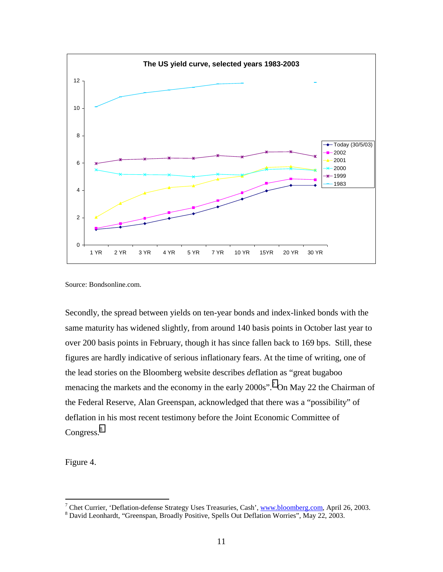

Source: Bondsonline.com.

Secondly, the spread between yields on ten-year bonds and index-linked bonds with the same maturity has widened slightly, from around 140 basis points in October last year to over 200 basis points in February, though it has since fallen back to 169 bps. Still, these figures are hardly indicative of serious inflationary fears. At the time of writing, one of the lead stories on the Bloomberg website describes *de*flation as "great bugaboo menacing the markets and the economy in the early 2000s".<sup>7</sup> On May 22 the Chairman of the Federal Reserve, Alan Greenspan, acknowledged that there was a "possibility" of deflation in his most recent testimony before the Joint Economic Committee of Congress.<sup>8</sup>

Figure 4.

<sup>7&</sup>lt;br>
<sup>7</sup> Chet Currier, 'Deflation-defense Strategy Uses Treasuries, Cash', www.bloomberg.com, April 26, 2003.<br><sup>8</sup> Devid Leophardt "Greenspap, Proedly Positive, Spells Out Deflation Werries", May 22, 2003.

David Leonhardt, "Greenspan, Broadly Positive, Spells Out Deflation Worries", May 22, 2003.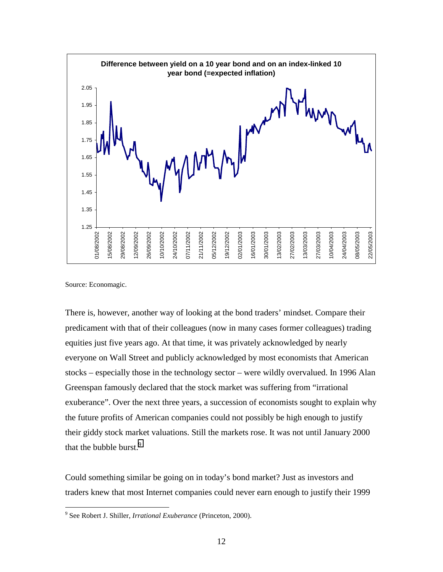

Source: Economagic.

 $\overline{a}$ 

There is, however, another way of looking at the bond traders' mindset. Compare their predicament with that of their colleagues (now in many cases former colleagues) trading equities just five years ago. At that time, it was privately acknowledged by nearly everyone on Wall Street and publicly acknowledged by most economists that American stocks – especially those in the technology sector – were wildly overvalued. In 1996 Alan Greenspan famously declared that the stock market was suffering from "irrational exuberance". Over the next three years, a succession of economists sought to explain why the future profits of American companies could not possibly be high enough to justify their giddy stock market valuations. Still the markets rose. It was not until January 2000 that the bubble burst. $9$ 

Could something similar be going on in today's bond market? Just as investors and traders knew that most Internet companies could never earn enough to justify their 1999

<sup>9</sup> See Robert J. Shiller, *Irrational Exuberance* (Princeton, 2000).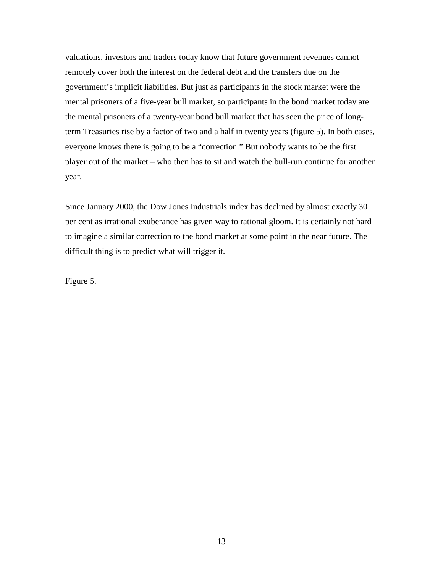valuations, investors and traders today know that future government revenues cannot remotely cover both the interest on the federal debt and the transfers due on the government's implicit liabilities. But just as participants in the stock market were the mental prisoners of a five-year bull market, so participants in the bond market today are the mental prisoners of a twenty-year bond bull market that has seen the price of longterm Treasuries rise by a factor of two and a half in twenty years (figure 5). In both cases, everyone knows there is going to be a "correction." But nobody wants to be the first player out of the market – who then has to sit and watch the bull-run continue for another year.

Since January 2000, the Dow Jones Industrials index has declined by almost exactly 30 per cent as irrational exuberance has given way to rational gloom. It is certainly not hard to imagine a similar correction to the bond market at some point in the near future. The difficult thing is to predict what will trigger it.

Figure 5.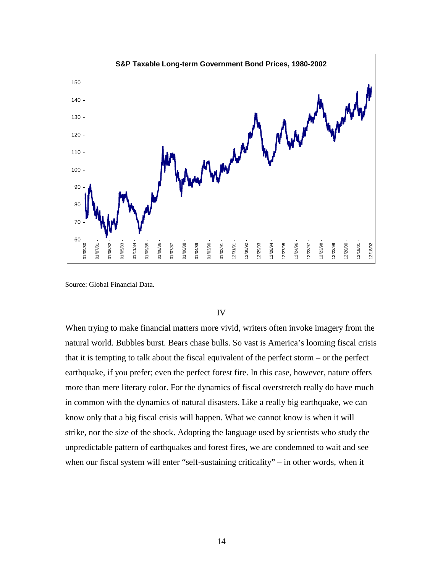

Source: Global Financial Data.

#### IV

When trying to make financial matters more vivid, writers often invoke imagery from the natural world. Bubbles burst. Bears chase bulls. So vast is America's looming fiscal crisis that it is tempting to talk about the fiscal equivalent of the perfect storm – or the perfect earthquake, if you prefer; even the perfect forest fire. In this case, however, nature offers more than mere literary color. For the dynamics of fiscal overstretch really do have much in common with the dynamics of natural disasters. Like a really big earthquake, we can know only that a big fiscal crisis will happen. What we cannot know is when it will strike, nor the size of the shock. Adopting the language used by scientists who study the unpredictable pattern of earthquakes and forest fires, we are condemned to wait and see when our fiscal system will enter "self-sustaining criticality" – in other words, when it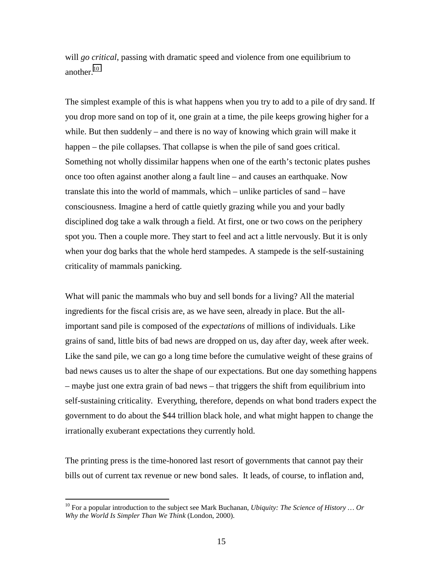will *go critical*, passing with dramatic speed and violence from one equilibrium to another. $10$ 

The simplest example of this is what happens when you try to add to a pile of dry sand. If you drop more sand on top of it, one grain at a time, the pile keeps growing higher for a while. But then suddenly – and there is no way of knowing which grain will make it happen – the pile collapses. That collapse is when the pile of sand goes critical. Something not wholly dissimilar happens when one of the earth's tectonic plates pushes once too often against another along a fault line – and causes an earthquake. Now translate this into the world of mammals, which – unlike particles of sand – have consciousness. Imagine a herd of cattle quietly grazing while you and your badly disciplined dog take a walk through a field. At first, one or two cows on the periphery spot you. Then a couple more. They start to feel and act a little nervously. But it is only when your dog barks that the whole herd stampedes. A stampede is the self-sustaining criticality of mammals panicking.

What will panic the mammals who buy and sell bonds for a living? All the material ingredients for the fiscal crisis are, as we have seen, already in place. But the allimportant sand pile is composed of the *expectations* of millions of individuals. Like grains of sand, little bits of bad news are dropped on us, day after day, week after week. Like the sand pile, we can go a long time before the cumulative weight of these grains of bad news causes us to alter the shape of our expectations. But one day something happens – maybe just one extra grain of bad news – that triggers the shift from equilibrium into self-sustaining criticality. Everything, therefore, depends on what bond traders expect the government to do about the \$44 trillion black hole, and what might happen to change the irrationally exuberant expectations they currently hold.

The printing press is the time-honored last resort of governments that cannot pay their bills out of current tax revenue or new bond sales. It leads, of course, to inflation and,

<sup>10</sup> For a popular introduction to the subject see Mark Buchanan, *Ubiquity: The Science of History … Or Why the World Is Simpler Than We Think* (London, 2000).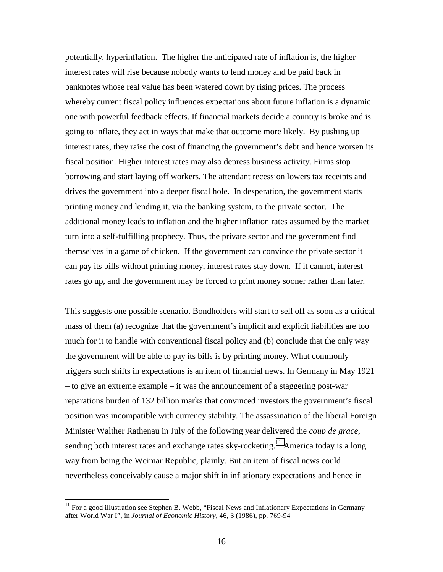potentially, hyperinflation. The higher the anticipated rate of inflation is, the higher interest rates will rise because nobody wants to lend money and be paid back in banknotes whose real value has been watered down by rising prices. The process whereby current fiscal policy influences expectations about future inflation is a dynamic one with powerful feedback effects. If financial markets decide a country is broke and is going to inflate, they act in ways that make that outcome more likely. By pushing up interest rates, they raise the cost of financing the government's debt and hence worsen its fiscal position. Higher interest rates may also depress business activity. Firms stop borrowing and start laying off workers. The attendant recession lowers tax receipts and drives the government into a deeper fiscal hole. In desperation, the government starts printing money and lending it, via the banking system, to the private sector. The additional money leads to inflation and the higher inflation rates assumed by the market turn into a self-fulfilling prophecy. Thus, the private sector and the government find themselves in a game of chicken. If the government can convince the private sector it can pay its bills without printing money, interest rates stay down. If it cannot, interest rates go up, and the government may be forced to print money sooner rather than later.

This suggests one possible scenario. Bondholders will start to sell off as soon as a critical mass of them (a) recognize that the government's implicit and explicit liabilities are too much for it to handle with conventional fiscal policy and (b) conclude that the only way the government will be able to pay its bills is by printing money. What commonly triggers such shifts in expectations is an item of financial news. In Germany in May 1921 – to give an extreme example – it was the announcement of a staggering post-war reparations burden of 132 billion marks that convinced investors the government's fiscal position was incompatible with currency stability. The assassination of the liberal Foreign Minister Walther Rathenau in July of the following year delivered the *coup de grace*, sending both interest rates and exchange rates sky-rocketing.<sup>11</sup> America today is a long way from being the Weimar Republic, plainly. But an item of fiscal news could nevertheless conceivably cause a major shift in inflationary expectations and hence in

 $11$  For a good illustration see Stephen B. Webb, "Fiscal News and Inflationary Expectations in Germany after World War I", in *Journal of Economic History*, 46, 3 (1986), pp. 769-94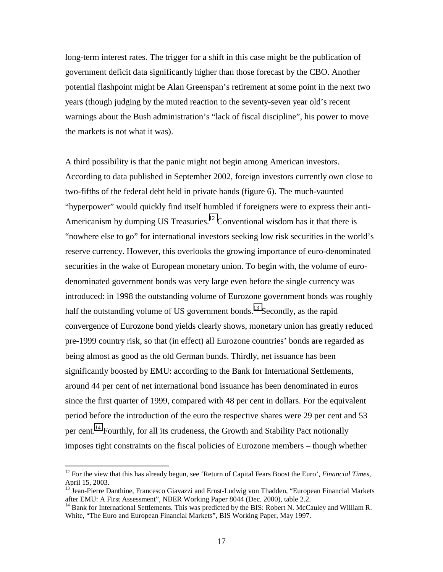long-term interest rates. The trigger for a shift in this case might be the publication of government deficit data significantly higher than those forecast by the CBO. Another potential flashpoint might be Alan Greenspan's retirement at some point in the next two years (though judging by the muted reaction to the seventy-seven year old's recent warnings about the Bush administration's "lack of fiscal discipline", his power to move the markets is not what it was).

A third possibility is that the panic might not begin among American investors. According to data published in September 2002, foreign investors currently own close to two-fifths of the federal debt held in private hands (figure 6). The much-vaunted "hyperpower" would quickly find itself humbled if foreigners were to express their anti-Americanism by dumping US Treasuries.<sup>12</sup> Conventional wisdom has it that there is "nowhere else to go" for international investors seeking low risk securities in the world's reserve currency. However, this overlooks the growing importance of euro-denominated securities in the wake of European monetary union. To begin with, the volume of eurodenominated government bonds was very large even before the single currency was introduced: in 1998 the outstanding volume of Eurozone government bonds was roughly half the outstanding volume of US government bonds.<sup>13</sup> Secondly, as the rapid convergence of Eurozone bond yields clearly shows, monetary union has greatly reduced pre-1999 country risk, so that (in effect) all Eurozone countries' bonds are regarded as being almost as good as the old German bunds. Thirdly, net issuance has been significantly boosted by EMU: according to the Bank for International Settlements, around 44 per cent of net international bond issuance has been denominated in euros since the first quarter of 1999, compared with 48 per cent in dollars. For the equivalent period before the introduction of the euro the respective shares were 29 per cent and 53 per cent.<sup>14</sup> Fourthly, for all its crudeness, the Growth and Stability Pact notionally imposes tight constraints on the fiscal policies of Eurozone members – though whether

<sup>12</sup> For the view that this has already begun, see 'Return of Capital Fears Boost the Euro', *Financial Times*, April 15, 2003.

<sup>&</sup>lt;sup>13</sup> Jean-Pierre Danthine, Francesco Giavazzi and Ernst-Ludwig von Thadden, "European Financial Markets" after EMU: A First Assessment", NBER Working Paper 8044 (Dec. 2000), table 2.2.

<sup>&</sup>lt;sup>14</sup> Bank for International Settlements. This was predicted by the BIS: Robert N. McCauley and William R. White, "The Euro and European Financial Markets", BIS Working Paper, May 1997.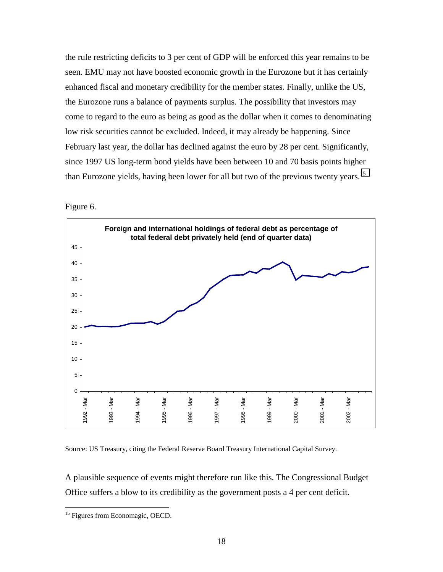the rule restricting deficits to 3 per cent of GDP will be enforced this year remains to be seen. EMU may not have boosted economic growth in the Eurozone but it has certainly enhanced fiscal and monetary credibility for the member states. Finally, unlike the US, the Eurozone runs a balance of payments surplus. The possibility that investors may come to regard to the euro as being as good as the dollar when it comes to denominating low risk securities cannot be excluded. Indeed, it may already be happening. Since February last year, the dollar has declined against the euro by 28 per cent. Significantly, since 1997 US long-term bond yields have been between 10 and 70 basis points higher than Eurozone yields, having been lower for all but two of the previous twenty years.<sup>15</sup>



Figure 6.

Source: US Treasury, citing the Federal Reserve Board Treasury International Capital Survey.

A plausible sequence of events might therefore run like this. The Congressional Budget Office suffers a blow to its credibility as the government posts a 4 per cent deficit.

<sup>&</sup>lt;sup>15</sup> Figures from Economagic, OECD.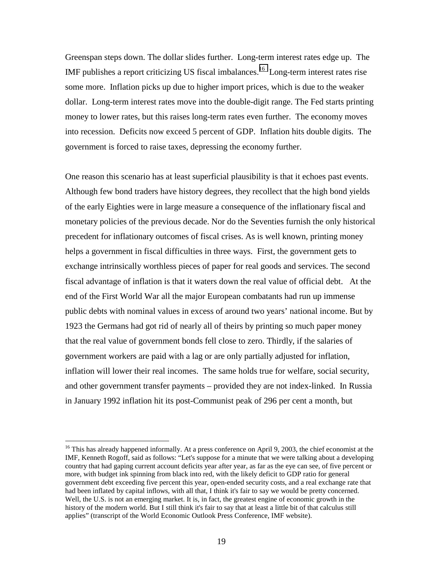Greenspan steps down. The dollar slides further. Long-term interest rates edge up. The IMF publishes a report criticizing US fiscal imbalances.<sup>16</sup> Long-term interest rates rise some more. Inflation picks up due to higher import prices, which is due to the weaker dollar. Long-term interest rates move into the double-digit range. The Fed starts printing money to lower rates, but this raises long-term rates even further. The economy moves into recession. Deficits now exceed 5 percent of GDP. Inflation hits double digits. The government is forced to raise taxes, depressing the economy further.

One reason this scenario has at least superficial plausibility is that it echoes past events. Although few bond traders have history degrees, they recollect that the high bond yields of the early Eighties were in large measure a consequence of the inflationary fiscal and monetary policies of the previous decade. Nor do the Seventies furnish the only historical precedent for inflationary outcomes of fiscal crises. As is well known, printing money helps a government in fiscal difficulties in three ways. First, the government gets to exchange intrinsically worthless pieces of paper for real goods and services. The second fiscal advantage of inflation is that it waters down the real value of official debt. At the end of the First World War all the major European combatants had run up immense public debts with nominal values in excess of around two years' national income. But by 1923 the Germans had got rid of nearly all of theirs by printing so much paper money that the real value of government bonds fell close to zero. Thirdly, if the salaries of government workers are paid with a lag or are only partially adjusted for inflation, inflation will lower their real incomes. The same holds true for welfare, social security, and other government transfer payments – provided they are not index-linked. In Russia in January 1992 inflation hit its post-Communist peak of 296 per cent a month, but

 $16$  This has already happened informally. At a press conference on April 9, 2003, the chief economist at the IMF, Kenneth Rogoff, said as follows: "Let's suppose for a minute that we were talking about a developing country that had gaping current account deficits year after year, as far as the eye can see, of five percent or more, with budget ink spinning from black into red, with the likely deficit to GDP ratio for general government debt exceeding five percent this year, open-ended security costs, and a real exchange rate that had been inflated by capital inflows, with all that, I think it's fair to say we would be pretty concerned. Well, the U.S. is not an emerging market. It is, in fact, the greatest engine of economic growth in the history of the modern world. But I still think it's fair to say that at least a little bit of that calculus still applies" (transcript of the World Economic Outlook Press Conference, IMF website).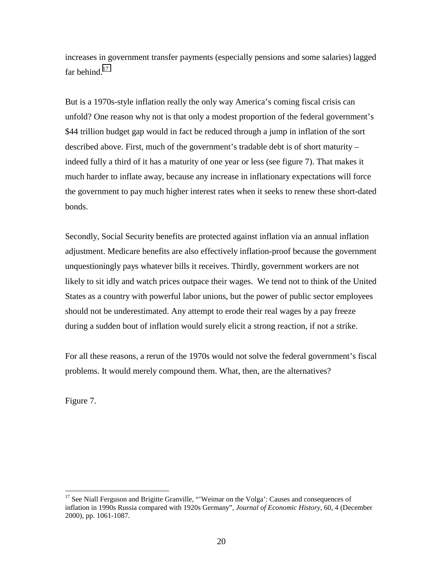increases in government transfer payments (especially pensions and some salaries) lagged far behind. $17$ 

But is a 1970s-style inflation really the only way America's coming fiscal crisis can unfold? One reason why not is that only a modest proportion of the federal government's \$44 trillion budget gap would in fact be reduced through a jump in inflation of the sort described above. First, much of the government's tradable debt is of short maturity – indeed fully a third of it has a maturity of one year or less (see figure 7). That makes it much harder to inflate away, because any increase in inflationary expectations will force the government to pay much higher interest rates when it seeks to renew these short-dated bonds.

Secondly, Social Security benefits are protected against inflation via an annual inflation adjustment. Medicare benefits are also effectively inflation-proof because the government unquestioningly pays whatever bills it receives. Thirdly, government workers are not likely to sit idly and watch prices outpace their wages. We tend not to think of the United States as a country with powerful labor unions, but the power of public sector employees should not be underestimated. Any attempt to erode their real wages by a pay freeze during a sudden bout of inflation would surely elicit a strong reaction, if not a strike.

For all these reasons, a rerun of the 1970s would not solve the federal government's fiscal problems. It would merely compound them. What, then, are the alternatives?

Figure 7.

<sup>&</sup>lt;sup>17</sup> See Niall Ferguson and Brigitte Granville, "'Weimar on the Volga': Causes and consequences of inflation in 1990s Russia compared with 1920s Germany", *Journal of Economic History*, 60, 4 (December 2000), pp. 1061-1087.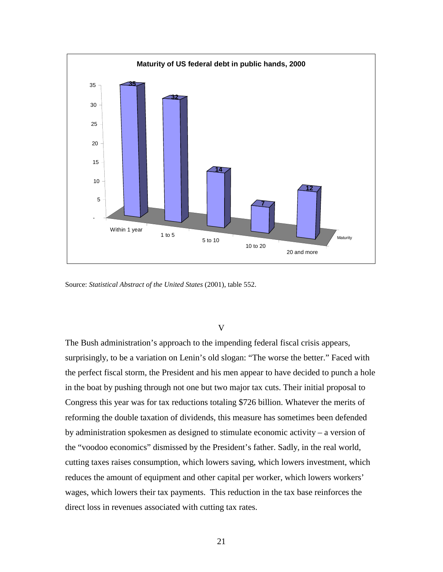

Source: *Statistical Abstract of the United States* (2001), table 552.

#### V

The Bush administration's approach to the impending federal fiscal crisis appears, surprisingly, to be a variation on Lenin's old slogan: "The worse the better." Faced with the perfect fiscal storm, the President and his men appear to have decided to punch a hole in the boat by pushing through not one but two major tax cuts. Their initial proposal to Congress this year was for tax reductions totaling \$726 billion. Whatever the merits of reforming the double taxation of dividends, this measure has sometimes been defended by administration spokesmen as designed to stimulate economic activity – a version of the "voodoo economics" dismissed by the President's father. Sadly, in the real world, cutting taxes raises consumption, which lowers saving, which lowers investment, which reduces the amount of equipment and other capital per worker, which lowers workers' wages, which lowers their tax payments. This reduction in the tax base reinforces the direct loss in revenues associated with cutting tax rates.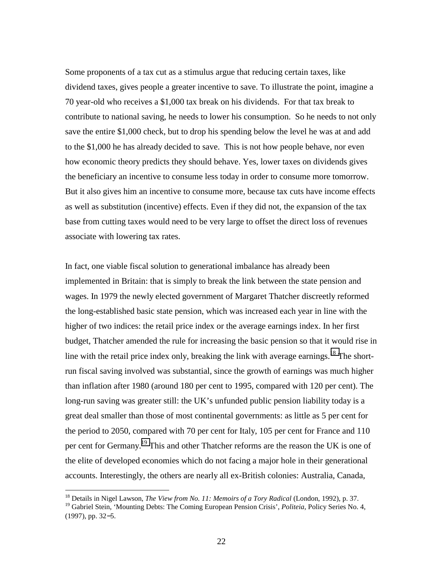Some proponents of a tax cut as a stimulus argue that reducing certain taxes, like dividend taxes, gives people a greater incentive to save. To illustrate the point, imagine a 70 year-old who receives a \$1,000 tax break on his dividends. For that tax break to contribute to national saving, he needs to lower his consumption. So he needs to not only save the entire \$1,000 check, but to drop his spending below the level he was at and add to the \$1,000 he has already decided to save. This is not how people behave, nor even how economic theory predicts they should behave. Yes, lower taxes on dividends gives the beneficiary an incentive to consume less today in order to consume more tomorrow. But it also gives him an incentive to consume more, because tax cuts have income effects as well as substitution (incentive) effects. Even if they did not, the expansion of the tax base from cutting taxes would need to be very large to offset the direct loss of revenues associate with lowering tax rates.

In fact, one viable fiscal solution to generational imbalance has already been implemented in Britain: that is simply to break the link between the state pension and wages. In 1979 the newly elected government of Margaret Thatcher discreetly reformed the long-established basic state pension, which was increased each year in line with the higher of two indices: the retail price index or the average earnings index. In her first budget, Thatcher amended the rule for increasing the basic pension so that it would rise in line with the retail price index only, breaking the link with average earnings.<sup>18</sup> The shortrun fiscal saving involved was substantial, since the growth of earnings was much higher than inflation after 1980 (around 180 per cent to 1995, compared with 120 per cent). The long-run saving was greater still: the UK's unfunded public pension liability today is a great deal smaller than those of most continental governments: as little as 5 per cent for the period to 2050, compared with 70 per cent for Italy, 105 per cent for France and 110 per cent for Germany.<sup>19</sup> This and other Thatcher reforms are the reason the UK is one of the elite of developed economies which do not facing a major hole in their generational accounts. Interestingly, the others are nearly all ex-British colonies: Australia, Canada,

<sup>18</sup> Details in Nigel Lawson, *The View from No. 11: Memoirs of a Tory Radical* (London, 1992), p. 37.

<sup>&</sup>lt;sup>19</sup> Gabriel Stein, 'Mounting Debts: The Coming European Pension Crisis', *Politeia*, Policy Series No. 4, (1997), pp. 32−5.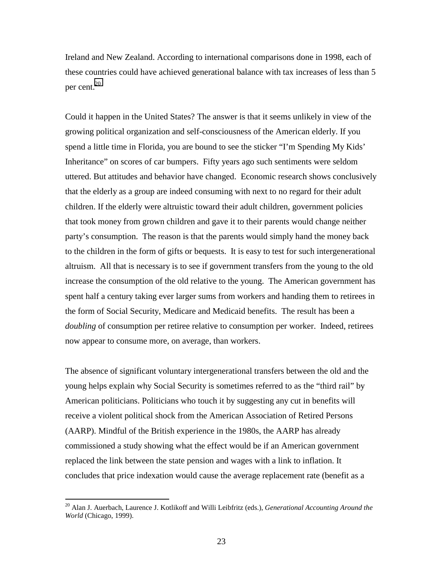Ireland and New Zealand. According to international comparisons done in 1998, each of these countries could have achieved generational balance with tax increases of less than 5 per cent.<sup>20</sup>

Could it happen in the United States? The answer is that it seems unlikely in view of the growing political organization and self-consciousness of the American elderly. If you spend a little time in Florida, you are bound to see the sticker "I'm Spending My Kids' Inheritance" on scores of car bumpers. Fifty years ago such sentiments were seldom uttered. But attitudes and behavior have changed. Economic research shows conclusively that the elderly as a group are indeed consuming with next to no regard for their adult children. If the elderly were altruistic toward their adult children, government policies that took money from grown children and gave it to their parents would change neither party's consumption. The reason is that the parents would simply hand the money back to the children in the form of gifts or bequests. It is easy to test for such intergenerational altruism. All that is necessary is to see if government transfers from the young to the old increase the consumption of the old relative to the young. The American government has spent half a century taking ever larger sums from workers and handing them to retirees in the form of Social Security, Medicare and Medicaid benefits. The result has been a *doubling* of consumption per retiree relative to consumption per worker. Indeed, retirees now appear to consume more, on average, than workers.

The absence of significant voluntary intergenerational transfers between the old and the young helps explain why Social Security is sometimes referred to as the "third rail" by American politicians. Politicians who touch it by suggesting any cut in benefits will receive a violent political shock from the American Association of Retired Persons (AARP). Mindful of the British experience in the 1980s, the AARP has already commissioned a study showing what the effect would be if an American government replaced the link between the state pension and wages with a link to inflation. It concludes that price indexation would cause the average replacement rate (benefit as a

<sup>20</sup> Alan J. Auerbach, Laurence J. Kotlikoff and Willi Leibfritz (eds.), *Generational Accounting Around the World* (Chicago, 1999).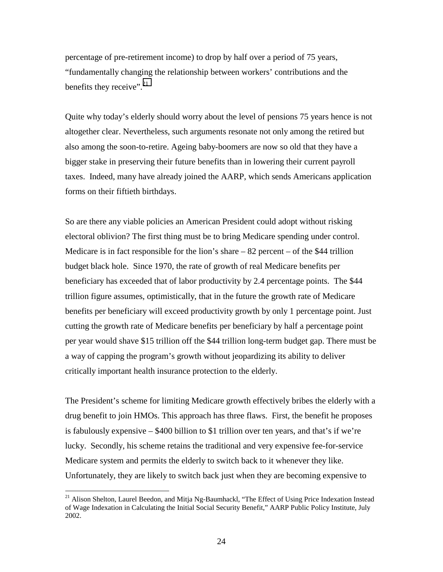percentage of pre-retirement income) to drop by half over a period of 75 years, "fundamentally changing the relationship between workers' contributions and the benefits they receive". $^{21}$ 

Quite why today's elderly should worry about the level of pensions 75 years hence is not altogether clear. Nevertheless, such arguments resonate not only among the retired but also among the soon-to-retire. Ageing baby-boomers are now so old that they have a bigger stake in preserving their future benefits than in lowering their current payroll taxes. Indeed, many have already joined the AARP, which sends Americans application forms on their fiftieth birthdays.

So are there any viable policies an American President could adopt without risking electoral oblivion? The first thing must be to bring Medicare spending under control. Medicare is in fact responsible for the lion's share – 82 percent – of the \$44 trillion budget black hole. Since 1970, the rate of growth of real Medicare benefits per beneficiary has exceeded that of labor productivity by 2.4 percentage points. The \$44 trillion figure assumes, optimistically, that in the future the growth rate of Medicare benefits per beneficiary will exceed productivity growth by only 1 percentage point. Just cutting the growth rate of Medicare benefits per beneficiary by half a percentage point per year would shave \$15 trillion off the \$44 trillion long-term budget gap. There must be a way of capping the program's growth without jeopardizing its ability to deliver critically important health insurance protection to the elderly.

The President's scheme for limiting Medicare growth effectively bribes the elderly with a drug benefit to join HMOs. This approach has three flaws. First, the benefit he proposes is fabulously expensive – \$400 billion to \$1 trillion over ten years, and that's if we're lucky. Secondly, his scheme retains the traditional and very expensive fee-for-service Medicare system and permits the elderly to switch back to it whenever they like. Unfortunately, they are likely to switch back just when they are becoming expensive to

<sup>&</sup>lt;sup>21</sup> Alison Shelton, Laurel Beedon, and Mitja Ng-Baumhackl, "The Effect of Using Price Indexation Instead of Wage Indexation in Calculating the Initial Social Security Benefit," AARP Public Policy Institute, July 2002.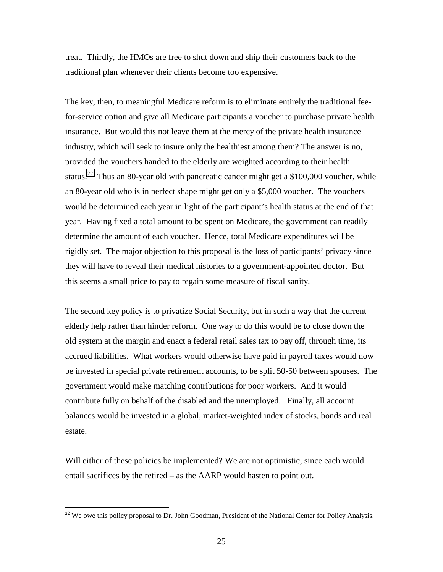treat. Thirdly, the HMOs are free to shut down and ship their customers back to the traditional plan whenever their clients become too expensive.

The key, then, to meaningful Medicare reform is to eliminate entirely the traditional feefor-service option and give all Medicare participants a voucher to purchase private health insurance. But would this not leave them at the mercy of the private health insurance industry, which will seek to insure only the healthiest among them? The answer is no, provided the vouchers handed to the elderly are weighted according to their health status.<sup>22</sup> Thus an 80-year old with pancreatic cancer might get a \$100,000 voucher, while an 80-year old who is in perfect shape might get only a \$5,000 voucher. The vouchers would be determined each year in light of the participant's health status at the end of that year. Having fixed a total amount to be spent on Medicare, the government can readily determine the amount of each voucher. Hence, total Medicare expenditures will be rigidly set. The major objection to this proposal is the loss of participants' privacy since they will have to reveal their medical histories to a government-appointed doctor. But this seems a small price to pay to regain some measure of fiscal sanity.

The second key policy is to privatize Social Security, but in such a way that the current elderly help rather than hinder reform. One way to do this would be to close down the old system at the margin and enact a federal retail sales tax to pay off, through time, its accrued liabilities. What workers would otherwise have paid in payroll taxes would now be invested in special private retirement accounts, to be split 50-50 between spouses. The government would make matching contributions for poor workers. And it would contribute fully on behalf of the disabled and the unemployed. Finally, all account balances would be invested in a global, market-weighted index of stocks, bonds and real estate.

Will either of these policies be implemented? We are not optimistic, since each would entail sacrifices by the retired – as the AARP would hasten to point out.

<sup>&</sup>lt;sup>22</sup> We owe this policy proposal to Dr. John Goodman, President of the National Center for Policy Analysis.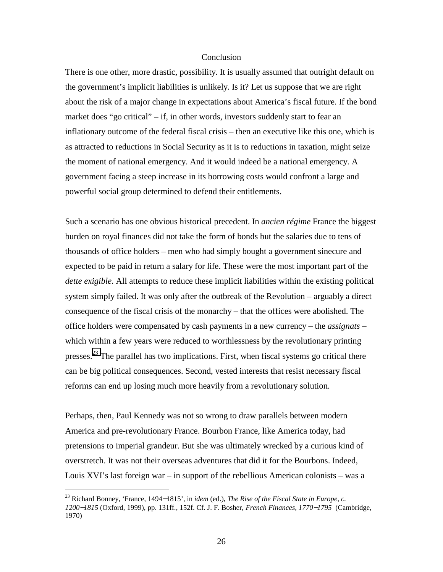### Conclusion

There is one other, more drastic, possibility. It is usually assumed that outright default on the government's implicit liabilities is unlikely. Is it? Let us suppose that we are right about the risk of a major change in expectations about America's fiscal future. If the bond market does "go critical" – if, in other words, investors suddenly start to fear an inflationary outcome of the federal fiscal crisis – then an executive like this one, which is as attracted to reductions in Social Security as it is to reductions in taxation, might seize the moment of national emergency. And it would indeed be a national emergency. A government facing a steep increase in its borrowing costs would confront a large and powerful social group determined to defend their entitlements.

Such a scenario has one obvious historical precedent. In *ancien régime* France the biggest burden on royal finances did not take the form of bonds but the salaries due to tens of thousands of office holders – men who had simply bought a government sinecure and expected to be paid in return a salary for life. These were the most important part of the *dette exigible*. All attempts to reduce these implicit liabilities within the existing political system simply failed. It was only after the outbreak of the Revolution – arguably a direct consequence of the fiscal crisis of the monarchy – that the offices were abolished. The office holders were compensated by cash payments in a new currency – the *assignats* – which within a few years were reduced to worthlessness by the revolutionary printing presses.<sup>23</sup> The parallel has two implications. First, when fiscal systems go critical there can be big political consequences. Second, vested interests that resist necessary fiscal reforms can end up losing much more heavily from a revolutionary solution.

Perhaps, then, Paul Kennedy was not so wrong to draw parallels between modern America and pre-revolutionary France. Bourbon France, like America today, had pretensions to imperial grandeur. But she was ultimately wrecked by a curious kind of overstretch. It was not their overseas adventures that did it for the Bourbons. Indeed, Louis XVI's last foreign war – in support of the rebellious American colonists – was a

<sup>23</sup> Richard Bonney, 'France, 1494−1815', in *idem* (ed.), *The Rise of the Fiscal State in Europe, c. 1200*−*1815* (Oxford, 1999), pp. 131ff., 152f. Cf. J. F. Bosher, *French Finances, 1770*−*1795* (Cambridge, 1970)